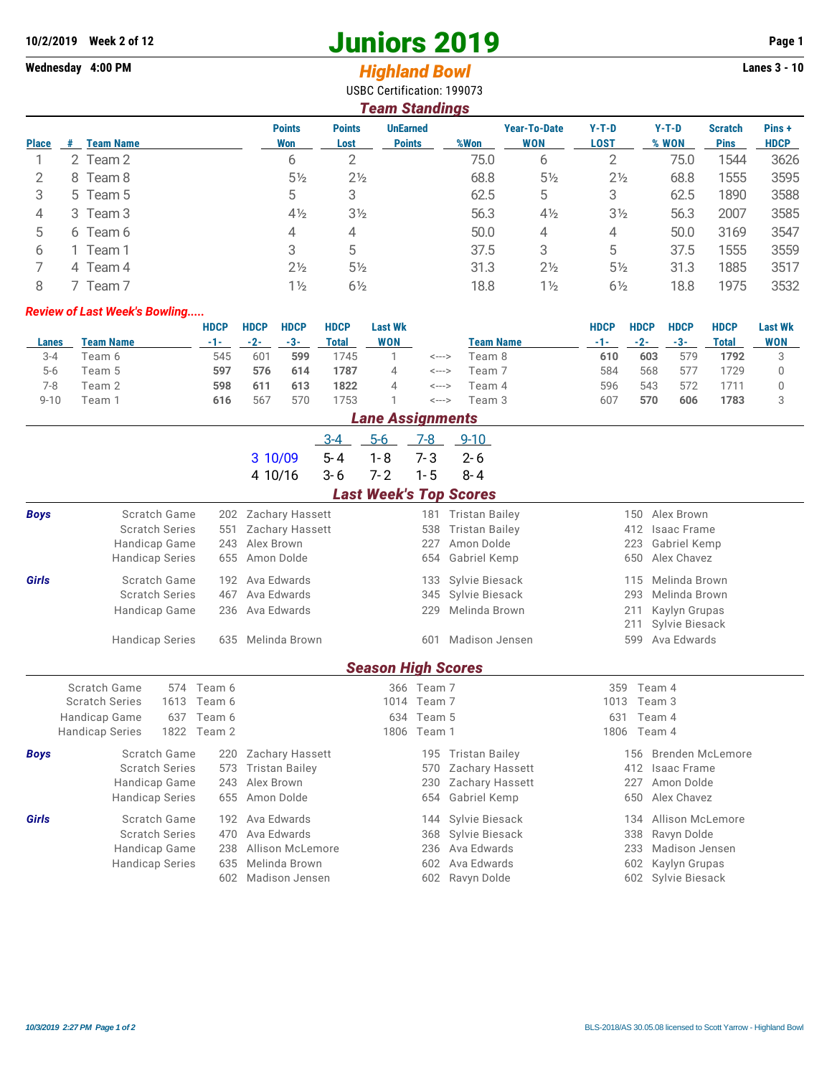## **10/2/2019 Week 2 of 12 Juniors 2019 Page 1**

USBC Certification: 199073

## Wednesday 4:00 PM *Highland Bowl*

|              | <b>Team Standings</b>  |                      |                       |                                  |      |                                   |                        |                  |                               |                      |  |  |  |  |
|--------------|------------------------|----------------------|-----------------------|----------------------------------|------|-----------------------------------|------------------------|------------------|-------------------------------|----------------------|--|--|--|--|
| <b>Place</b> | <b>Team Name</b><br>.# | <b>Points</b><br>Won | <b>Points</b><br>Lost | <b>UnEarned</b><br><b>Points</b> | %Won | <b>Year-To-Date</b><br><b>WON</b> | $Y-T-D$<br><b>LOST</b> | $Y-T-D$<br>% WON | <b>Scratch</b><br><b>Pins</b> | Pins+<br><b>HDCP</b> |  |  |  |  |
|              | 2 Team 2               | 6                    | 2                     |                                  | 75.0 | 6                                 |                        | 75.0             | 1544                          | 3626                 |  |  |  |  |
| 2            | Team 8<br>8            | 5 <sub>2</sub>       | $2\frac{1}{2}$        |                                  | 68.8 | $5\frac{1}{2}$                    | $2\frac{1}{2}$         | 68.8             | 1555                          | 3595                 |  |  |  |  |
| 3            | 5 Team 5               | 5                    | 3                     |                                  | 62.5 | 5                                 | 3                      | 62.5             | 1890                          | 3588                 |  |  |  |  |
| 4            | 3 Team 3               | $4\frac{1}{2}$       | 3 <sub>2</sub>        |                                  | 56.3 | $4\frac{1}{2}$                    | $3\frac{1}{2}$         | 56.3             | 2007                          | 3585                 |  |  |  |  |
| 5            | 6 Team 6               | 4                    | 4                     |                                  | 50.0 | 4                                 | 4                      | 50.0             | 3169                          | 3547                 |  |  |  |  |
| 6            | Team 1                 | 3                    | 5                     |                                  | 37.5 | 3                                 | 5                      | 37.5             | 1555                          | 3559                 |  |  |  |  |
|              | 4 Team 4               | $2\frac{1}{2}$       | $5\frac{1}{2}$        |                                  | 31.3 | $2\frac{1}{2}$                    | $5\frac{1}{2}$         | 31.3             | 1885                          | 3517                 |  |  |  |  |
| 8            | Team 7                 | $1\frac{1}{2}$       | $6\frac{1}{2}$        |                                  | 18.8 | $1\frac{1}{2}$                    | $6\frac{1}{2}$         | 18.8             | 1975                          | 3532                 |  |  |  |  |

## *Review of Last Week's Bowling.....*

|          |           | <b>HDCP</b> | <b>HDCP</b> | <b>HDCP</b> | <b>HDCP</b> | <b>Last Wk</b> |                    |                  | <b>HDCP</b> | <b>HDCP</b> | <b>HDCP</b> | <b>HDCP</b> | <b>Last Wk</b> |
|----------|-----------|-------------|-------------|-------------|-------------|----------------|--------------------|------------------|-------------|-------------|-------------|-------------|----------------|
| Lanes    | Team Name | -1-1        | $-2-$       | $-3-$       | Total       | <b>WON</b>     |                    | <b>Team Name</b> | -1-1        | $-2-$       | $-3-$       | Total       | <b>WON</b>     |
| $3 - 4$  | Team 6    | 545         | 601         | 599         | 1745        |                | <--->              | Team 8           | 610         | 603         | 579         | 1792        |                |
| $5-6$    | Team 5    | 597         | 576         | 614         | 1787        | 4              | <b>&lt;---&gt;</b> | Team 7           | 584         | 568         | 577         | 1729        |                |
| 7-8      | Team 2    | 598         | 611         | 613         | 1822        | $\Delta$       | <--->              | Team 4           | 596         | 543         | 572         |             |                |
| $9 - 10$ | Team 1    | 616         | 567         | 570         | 1753        |                | <--->              | Team 3           | 607         | 570         | 606         | 1783        |                |

|             | <b>Lane Assignments</b>                        |                      |                        |            |                           |             |                               |                   |                      |  |  |  |  |
|-------------|------------------------------------------------|----------------------|------------------------|------------|---------------------------|-------------|-------------------------------|-------------------|----------------------|--|--|--|--|
|             |                                                |                      |                        | $3 - 4$    | $5-6$                     | 7-8         | $9 - 10$                      |                   |                      |  |  |  |  |
|             |                                                |                      | 3 10/09                | $5 - 4$    | $1 - 8$                   | $7 - 3$     | $2 - 6$                       |                   |                      |  |  |  |  |
|             |                                                |                      | 4 10/16                | $3 - 6$    | $7 - 2$                   | $1 - 5$     | $8 - 4$                       |                   |                      |  |  |  |  |
|             |                                                |                      |                        |            |                           |             | <b>Last Week's Top Scores</b> |                   |                      |  |  |  |  |
| <b>Boys</b> | Scratch Game                                   | 202                  | Zachary Hassett        |            |                           | 181         | <b>Tristan Bailey</b>         | 150               | Alex Brown           |  |  |  |  |
|             | <b>Scratch Series</b>                          | 551                  | Zachary Hassett        |            |                           | 538         | <b>Tristan Bailey</b>         | 412               | Isaac Frame          |  |  |  |  |
|             | Handicap Game                                  | 243                  | Alex Brown             |            |                           | 227         | Amon Dolde                    | 223               | Gabriel Kemp         |  |  |  |  |
|             | Amon Dolde<br><b>Handicap Series</b><br>655    |                      |                        |            |                           | 654         | Gabriel Kemp                  | 650               | Alex Chavez          |  |  |  |  |
| Girls       | Scratch Game<br>Ava Edwards<br>192             |                      |                        |            |                           | 133         | Sylvie Biesack                | 115               | Melinda Brown        |  |  |  |  |
|             | <b>Scratch Series</b><br>467<br>Ava Edwards    |                      |                        |            |                           | 345         | Sylvie Biesack                |                   | Melinda Brown<br>293 |  |  |  |  |
|             | Handicap Game                                  | 236                  | Ava Edwards            |            |                           | 229         | Melinda Brown                 |                   | 211<br>Kaylyn Grupas |  |  |  |  |
|             |                                                |                      |                        |            |                           |             | 211<br>Sylvie Biesack         |                   |                      |  |  |  |  |
|             | <b>Handicap Series</b><br>Melinda Brown<br>635 |                      |                        |            |                           | 601         | Madison Jensen                | 599               | Ava Edwards          |  |  |  |  |
|             |                                                |                      |                        |            | <b>Season High Scores</b> |             |                               |                   |                      |  |  |  |  |
|             | Scratch Game<br>574                            | Team 6               |                        |            |                           | 366 Team 7  |                               | 359               | Team 4               |  |  |  |  |
|             | <b>Scratch Series</b><br>1613<br>Team 6        |                      |                        |            |                           | 1014 Team 7 |                               | 1013              | Team 3               |  |  |  |  |
|             | Handicap Game<br>637                           | Team 6               |                        |            |                           | 634 Team 5  |                               | 631               | Team 4               |  |  |  |  |
|             | 1822<br><b>Handicap Series</b>                 | Team 2               |                        |            | 1806                      | Team 1      |                               | 1806              | Team 4               |  |  |  |  |
| <b>Boys</b> | Scratch Game                                   | 220                  | <b>Zachary Hassett</b> |            |                           | 195         | <b>Tristan Bailey</b>         | 156               | Brenden McLemore     |  |  |  |  |
|             | <b>Scratch Series</b>                          | 573                  | <b>Tristan Bailey</b>  |            |                           | 570         | Zachary Hassett               | 412               | <b>Isaac Frame</b>   |  |  |  |  |
|             |                                                | Handicap Game<br>243 |                        | Alex Brown |                           |             | Zachary Hassett               | 227<br>Amon Dolde |                      |  |  |  |  |
|             | <b>Handicap Series</b>                         | 655                  | Amon Dolde             |            |                           | 654         | Gabriel Kemp                  | 650               | Alex Chavez          |  |  |  |  |
| Girls       | Scratch Game                                   | 192                  | Ava Edwards            |            |                           | 144         | Sylvie Biesack                | 134               | Allison McLemore     |  |  |  |  |
|             | <b>Scratch Series</b><br>470                   |                      | Ava Edwards            |            |                           | 368         | Sylvie Biesack                | 338               | Ravyn Dolde          |  |  |  |  |
|             | Handicap Game                                  | 238                  | Allison McLemore       |            |                           | 236         | Ava Edwards                   | 233               | Madison Jensen       |  |  |  |  |
|             | <b>Handicap Series</b>                         | 635                  | Melinda Brown          |            |                           | 602         | Ava Edwards                   | 602               | Kaylyn Grupas        |  |  |  |  |
|             |                                                | 602                  | Madison Jensen         |            |                           | 602         | Ravyn Dolde                   | 602               | Sylvie Biesack       |  |  |  |  |
|             |                                                |                      |                        |            |                           |             |                               |                   |                      |  |  |  |  |